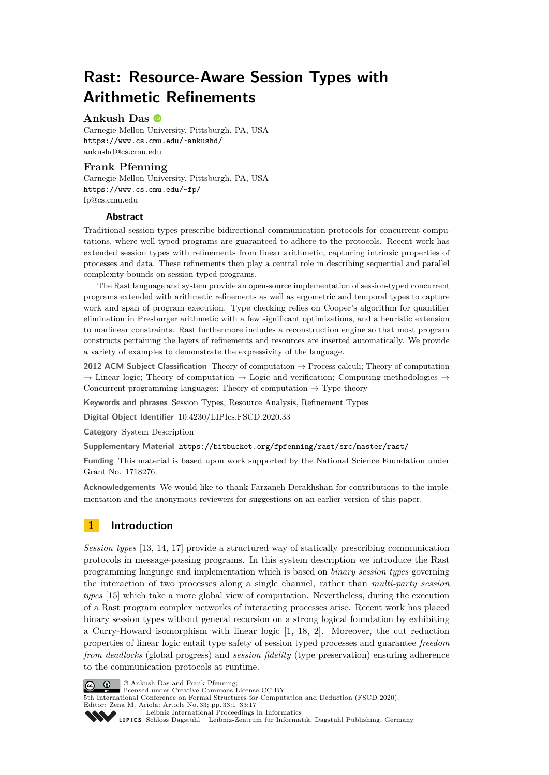# **Rast: Resource-Aware Session Types with Arithmetic Refinements**

# **Ankush Das**

Carnegie Mellon University, Pittsburgh, PA, USA <https://www.cs.cmu.edu/~ankushd/> [ankushd@cs.cmu.edu](mailto:ankushd@cs.cmu.edu)

# **Frank Pfenning**

Carnegie Mellon University, Pittsburgh, PA, USA <https://www.cs.cmu.edu/~fp/> [fp@cs.cmu.edu](mailto:fp@cs.cmu.edu)

# **Abstract**

Traditional session types prescribe bidirectional communication protocols for concurrent computations, where well-typed programs are guaranteed to adhere to the protocols. Recent work has extended session types with refinements from linear arithmetic, capturing intrinsic properties of processes and data. These refinements then play a central role in describing sequential and parallel complexity bounds on session-typed programs.

The Rast language and system provide an open-source implementation of session-typed concurrent programs extended with arithmetic refinements as well as ergometric and temporal types to capture work and span of program execution. Type checking relies on Cooper's algorithm for quantifier elimination in Presburger arithmetic with a few significant optimizations, and a heuristic extension to nonlinear constraints. Rast furthermore includes a reconstruction engine so that most program constructs pertaining the layers of refinements and resources are inserted automatically. We provide a variety of examples to demonstrate the expressivity of the language.

**2012 ACM Subject Classification** Theory of computation → Process calculi; Theory of computation  $\rightarrow$  Linear logic; Theory of computation  $\rightarrow$  Logic and verification; Computing methodologies  $\rightarrow$ Concurrent programming languages; Theory of computation  $\rightarrow$  Type theory

**Keywords and phrases** Session Types, Resource Analysis, Refinement Types

**Digital Object Identifier** [10.4230/LIPIcs.FSCD.2020.33](https://doi.org/10.4230/LIPIcs.FSCD.2020.33)

**Category** System Description

**Supplementary Material** <https://bitbucket.org/fpfenning/rast/src/master/rast/>

**Funding** This material is based upon work supported by the National Science Foundation under Grant No. 1718276.

**Acknowledgements** We would like to thank Farzaneh Derakhshan for contributions to the implementation and the anonymous reviewers for suggestions on an earlier version of this paper.

# **1 Introduction**

*Session types* [\[13,](#page-16-0) [14,](#page-16-1) [17\]](#page-16-2) provide a structured way of statically prescribing communication protocols in message-passing programs. In this system description we introduce the Rast programming language and implementation which is based on *binary session types* governing the interaction of two processes along a single channel, rather than *multi-party session types* [\[15\]](#page-16-3) which take a more global view of computation. Nevertheless, during the execution of a Rast program complex networks of interacting processes arise. Recent work has placed binary session types without general recursion on a strong logical foundation by exhibiting a Curry-Howard isomorphism with linear logic [\[1,](#page-15-0) [18,](#page-16-4) [2\]](#page-15-1). Moreover, the cut reduction properties of linear logic entail type safety of session typed processes and guarantee *freedom from deadlocks* (global progress) and *session fidelity* (type preservation) ensuring adherence to the communication protocols at runtime.



© Ankush Das and Frank Pfenning; licensed under Creative Commons License CC-BY

5th International Conference on Formal Structures for Computation and Deduction (FSCD 2020).

Editor: Zena M. Ariola; Article No. 33; pp. 33:1–33[:17](#page-16-5)

[Leibniz International Proceedings in Informatics](https://www.dagstuhl.de/lipics/)

[Schloss Dagstuhl – Leibniz-Zentrum für Informatik, Dagstuhl Publishing, Germany](https://www.dagstuhl.de)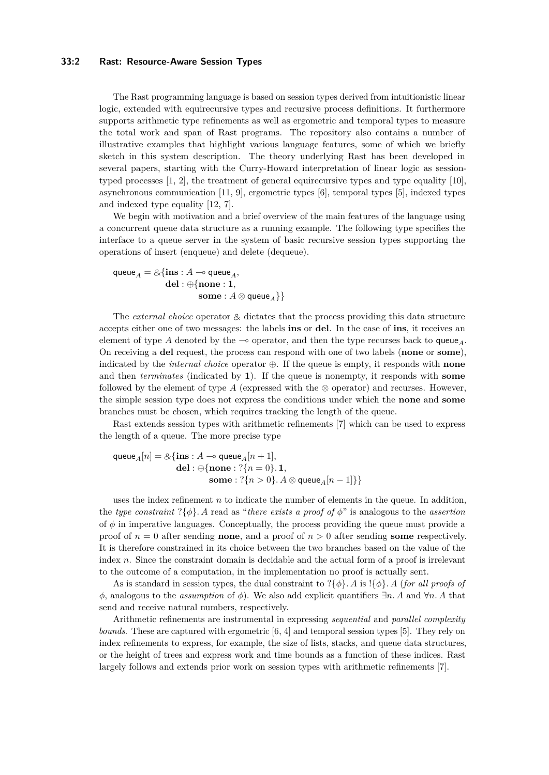# **33:2 Rast: Resource-Aware Session Types**

The Rast programming language is based on session types derived from intuitionistic linear logic, extended with equirecursive types and recursive process definitions. It furthermore supports arithmetic type refinements as well as ergometric and temporal types to measure the total work and span of Rast programs. The repository also contains a number of illustrative examples that highlight various language features, some of which we briefly sketch in this system description. The theory underlying Rast has been developed in several papers, starting with the Curry-Howard interpretation of linear logic as sessiontyped processes [\[1,](#page-15-0) [2\]](#page-15-1), the treatment of general equirecursive types and type equality [\[10\]](#page-16-6), asynchronous communication [\[11,](#page-16-7) [9\]](#page-16-8), ergometric types [\[6\]](#page-16-9), temporal types [\[5\]](#page-15-2), indexed types and indexed type equality [\[12,](#page-16-10) [7\]](#page-16-11).

We begin with motivation and a brief overview of the main features of the language using a concurrent queue data structure as a running example. The following type specifies the interface to a queue server in the system of basic recursive session types supporting the operations of insert (enqueue) and delete (dequeue).

$$
\begin{aligned}\n\mathsf{queue}_A &= \& \{ \mathbf{ins} : A \multimap \mathsf{queue}_A, \\ \mathbf{del} : \bigoplus \{ \mathbf{none} : 1, \\ \mathbf{some} : A \otimes \mathsf{queue}_A \} \}\n\end{aligned}
$$

The *external choice* operator  $\&$  dictates that the process providing this data structure accepts either one of two messages: the labels **ins** or **del**. In the case of **ins**, it receives an element of type A denoted by the  $\sim$  operator, and then the type recurses back to queue<sub>A</sub>. On receiving a **del** request, the process can respond with one of two labels (**none** or **some**), indicated by the *internal choice* operator ⊕. If the queue is empty, it responds with **none** and then *terminates* (indicated by **1**). If the queue is nonempty, it responds with **some** followed by the element of type  $A$  (expressed with the  $\otimes$  operator) and recurses. However, the simple session type does not express the conditions under which the **none** and **some** branches must be chosen, which requires tracking the length of the queue.

Rast extends session types with arithmetic refinements [\[7\]](#page-16-11) which can be used to express the length of a queue. The more precise type

$$
\begin{aligned} \text{queue}_A[n] = \&\{\mathbf{ins}: A \multimap \text{queue}_A[n+1],\\ \text{del}: \oplus \{\text{none}: \text{?}\{n=0\}.~\textbf{1},\\ \text{some}: \text{?}\{n>0\}.~A \otimes \text{queue}_A[n-1]\}\} \end{aligned}
$$

uses the index refinement *n* to indicate the number of elements in the queue. In addition, the *type constraint*  $?$ { $\phi$ *}. A* read as "*there exists a proof of*  $\phi$ " is analogous to the *assertion* of  $\phi$  in imperative languages. Conceptually, the process providing the queue must provide a proof of  $n = 0$  after sending **none**, and a proof of  $n > 0$  after sending **some** respectively. It is therefore constrained in its choice between the two branches based on the value of the index *n*. Since the constraint domain is decidable and the actual form of a proof is irrelevant to the outcome of a computation, in the implementation no proof is actually sent.

As is standard in session types, the dual constraint to  $?\{\phi\}$ *. A* is  $!\{\phi\}$ *. A (for all proofs of φ*, analogous to the *assumption* of *φ*). We also add explicit quantifiers ∃*n. A* and ∀*n. A* that send and receive natural numbers, respectively.

Arithmetic refinements are instrumental in expressing *sequential* and *parallel complexity bounds*. These are captured with ergometric [\[6,](#page-16-9) [4\]](#page-15-3) and temporal session types [\[5\]](#page-15-2). They rely on index refinements to express, for example, the size of lists, stacks, and queue data structures, or the height of trees and express work and time bounds as a function of these indices. Rast largely follows and extends prior work on session types with arithmetic refinements [\[7\]](#page-16-11).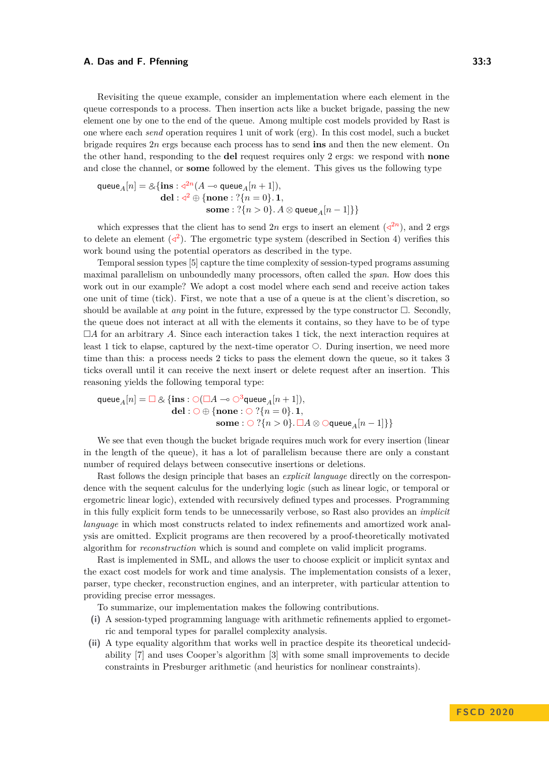Revisiting the queue example, consider an implementation where each element in the queue corresponds to a process. Then insertion acts like a bucket brigade, passing the new element one by one to the end of the queue. Among multiple cost models provided by Rast is one where each *send* operation requires 1 unit of work (erg). In this cost model, such a bucket brigade requires 2*n* ergs because each process has to send **ins** and then the new element. On the other hand, responding to the **del** request requires only 2 ergs: we respond with **none** and close the channel, or **some** followed by the element. This gives us the following type

$$
\begin{aligned} \text{queue}_A[n] = \&\{\mathbf{ins}: \mathbf{d}^{2n}(A \multimap \mathbf{queue}_A[n+1]),\\ \mathbf{del}: \mathbf{d}^2 \oplus \{\mathbf{none}: ?\{n=0\}. \textbf{1},\\ \mathbf{some}: ?\{n>0\}. \textit{A} \otimes \mathbf{queue}_A[n-1]\}\} \end{aligned}
$$

which expresses that the client has to send  $2n$  ergs to insert an element  $(2^{2n})$ , and 2 ergs to delete an element  $\left(\langle \cdot \rangle^2\right)$ . The ergometric type system (described in Section [4\)](#page-8-0) verifies this work bound using the potential operators as described in the type.

Temporal session types [\[5\]](#page-15-2) capture the time complexity of session-typed programs assuming maximal parallelism on unboundedly many processors, often called the *span*. How does this work out in our example? We adopt a cost model where each send and receive action takes one unit of time (tick). First, we note that a use of a queue is at the client's discretion, so should be available at *any* point in the future, expressed by the type constructor  $\Box$ . Secondly, the queue does not interact at all with the elements it contains, so they have to be of type  $\Box A$  for an arbitrary *A*. Since each interaction takes 1 tick, the next interaction requires at least 1 tick to elapse, captured by the next-time operator  $\circ$ . During insertion, we need more time than this: a process needs 2 ticks to pass the element down the queue, so it takes 3 ticks overall until it can receive the next insert or delete request after an insertion. This reasoning yields the following temporal type:

$$
\begin{aligned} \mathsf{queue}_A[n] = \Box \otimes \{ \mathbf{ins}: \bigcirc (\Box A \multimap \bigcirc^3 \mathsf{queue}_A[n+1]), \\ \mathbf{del}: \bigcirc \oplus \{ \mathbf{none}: \bigcirc ?\{n=0\}. \ \mathbf{1}, \\ \mathbf{some}: \bigcirc ?\{n>0\}. \ \Box A \otimes \bigcirc \mathsf{queue}_A[n-1] \} \} \end{aligned}
$$

We see that even though the bucket brigade requires much work for every insertion (linear in the length of the queue), it has a lot of parallelism because there are only a constant number of required delays between consecutive insertions or deletions.

Rast follows the design principle that bases an *explicit language* directly on the correspondence with the sequent calculus for the underlying logic (such as linear logic, or temporal or ergometric linear logic), extended with recursively defined types and processes. Programming in this fully explicit form tends to be unnecessarily verbose, so Rast also provides an *implicit language* in which most constructs related to index refinements and amortized work analysis are omitted. Explicit programs are then recovered by a proof-theoretically motivated algorithm for *reconstruction* which is sound and complete on valid implicit programs.

Rast is implemented in SML, and allows the user to choose explicit or implicit syntax and the exact cost models for work and time analysis. The implementation consists of a lexer, parser, type checker, reconstruction engines, and an interpreter, with particular attention to providing precise error messages.

To summarize, our implementation makes the following contributions.

- **(i)** A session-typed programming language with arithmetic refinements applied to ergometric and temporal types for parallel complexity analysis.
- **(ii)** A type equality algorithm that works well in practice despite its theoretical undecidability [\[7\]](#page-16-11) and uses Cooper's algorithm [\[3\]](#page-15-4) with some small improvements to decide constraints in Presburger arithmetic (and heuristics for nonlinear constraints).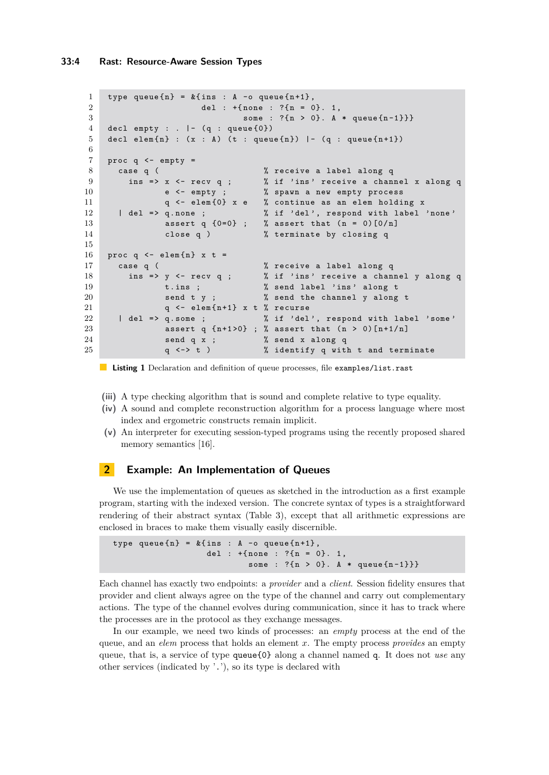```
1 type queue {n} = k ins : A -o queue {n+1},
2 del : +{none : ?{n = 0}. 1,
3 some : ?{n > 0}. A * queue {n-1}}}
4 decl empty : . |- (q : queue \{0\})
5 decl elem\{n\} : (x : A) (t : queue\{n\}) |- (q : queue\{n+1\})6
7 proc q <- empty =
8 case q ( \% receive a label along q
9 ins => x <- recv q ; % if 'ins' receive a channel x along q
10 e <- empty ; % spawn a new empty process
11 q <- elem {0} x e % continue as an elem holding x
12 | del => q.none ; \% if 'del', respond with label 'none'
13 assert q {0=0} ; % assert that (n = 0) [0/n]14 close q ) % terminate by closing q
15
16 proc q \leftarrow elem {n} x t =
17 case q ( % receive a label along q
18 ins => y <- recv q ; % if 'ins' receive a channel y along q
19 t.ins; % send label 'ins' along t
20 send t y ; % send the channel y along t
21 q \leftarrow \text{elem}\{n+1\} x t % recurse<br>
22 \mid del => q.some ; % if 'del
22 | del => q.some ; \% if 'del', respond with label 'some'
23 assert q {n+1>0}; % assert that (n > 0) [n+1/n]24 send q x ; % send x along q
25 q <-> t ) % identify q with t and terminate
```
**Listing 1** Declaration and definition of queue processes, file examples/list.rast

- **(iii)** A type checking algorithm that is sound and complete relative to type equality.
- **(iv)** A sound and complete reconstruction algorithm for a process language where most index and ergometric constructs remain implicit.
- **(v)** An interpreter for executing session-typed programs using the recently proposed shared memory semantics [\[16\]](#page-16-12).

# **2 Example: An Implementation of Queues**

We use the implementation of queues as sketched in the introduction as a first example program, starting with the indexed version. The concrete syntax of types is a straightforward rendering of their abstract syntax (Table [3\)](#page-11-0), except that all arithmetic expressions are enclosed in braces to make them visually easily discernible.

```
type queue {n} = k { ins : A -o queue {n+1},
                   del : +{ none : ?{ n = 0}. 1 ,
                           some : ?{n > 0}. A * queue{n-1}}
```
Each channel has exactly two endpoints: a *provider* and a *client*. Session fidelity ensures that provider and client always agree on the type of the channel and carry out complementary actions. The type of the channel evolves during communication, since it has to track where the processes are in the protocol as they exchange messages.

In our example, we need two kinds of processes: an *empty* process at the end of the queue, and an *elem* process that holds an element *x*. The empty process *provides* an empty queue, that is, a service of type queue{0} along a channel named q. It does not *use* any other services (indicated by '.'), so its type is declared with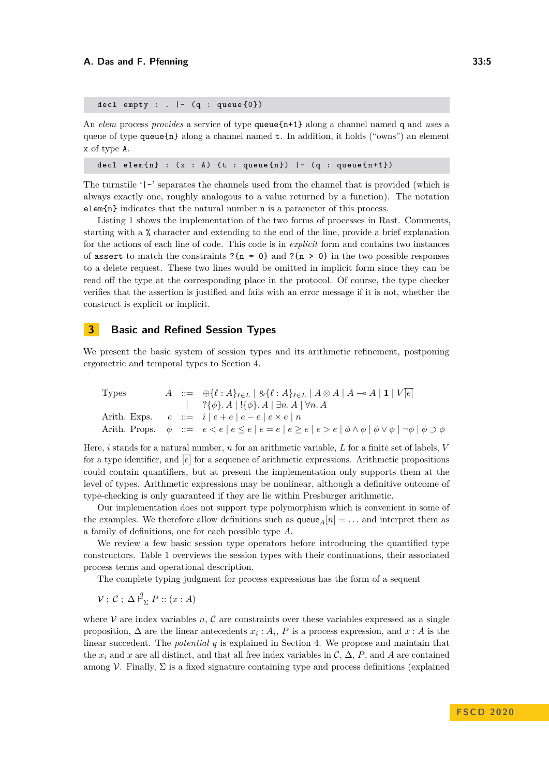decl empty : .  $| - (q : queue{0})$ 

An *elem* process *provides* a service of type queue{n+1} along a channel named q and *uses* a queue of type queue ${\bf n}$  along a channel named  ${\bf t}$ . In addition, it holds ("owns") an element x of type A.

decl elem $\{ n \}$  :  $(x : A)$   $(t : queue\{ n \})$   $| - (q : queue\{ n + 1 \})$ 

The turnstile '|-' separates the channels used from the channel that is provided (which is always exactly one, roughly analogous to a value returned by a function). The notation elem{n} indicates that the natural number n is a parameter of this process.

Listing [1](#page-3-0) shows the implementation of the two forms of processes in Rast. Comments, starting with a % character and extending to the end of the line, provide a brief explanation for the actions of each line of code. This code is in *explicit* form and contains two instances of assert to match the constraints  $?$  {n = 0} and  $?$  {n > 0} in the two possible responses to a delete request. These two lines would be omitted in implicit form since they can be read off the type at the corresponding place in the protocol. Of course, the type checker verifies that the assertion is justified and fails with an error message if it is not, whether the construct is explicit or implicit.

# **3 Basic and Refined Session Types**

We present the basic system of session types and its arithmetic refinement, postponing ergometric and temporal types to Section [4.](#page-8-0)

\nTypes\n
$$
A \ ::= \bigoplus \{ \ell : A \}_{\ell \in L} \mid \& \{ \ell : A \}_{\ell \in L} \mid A \otimes A \mid A \multimap A \mid \mathbf{1} \mid V \mid e \} \\
 \quad | \quad ? \{\phi\}. A \mid ! \{\phi\}. A \mid \exists n. A \mid \forall n. A
$$
\n

\n\nArith. Express.\n
$$
e \ ::= \ i \mid e + e \mid e - e \mid e \times e \mid n
$$
\n

\n\nArith. Props.\n
$$
\phi \ ::= \ e < e \mid e \leq e \mid e = e \mid e \geq e \mid e > e \mid \phi \land \phi \mid \phi \lor \phi \mid \neg \phi \mid \phi \supset \phi
$$
\n

Here, *i* stands for a natural number, *n* for an arithmetic variable, *L* for a finite set of labels, *V* for a type identifier, and [*e*] for a sequence of arithmetic expressions. Arithmetic propositions could contain quantifiers, but at present the implementation only supports them at the level of types. Arithmetic expressions may be nonlinear, although a definitive outcome of type-checking is only guaranteed if they are lie within Presburger arithmetic.

Our implementation does not support type polymorphism which is convenient in some of the examples. We therefore allow definitions such as  $queue_{A}[n] = \dots$  and interpret them as a family of definitions, one for each possible type *A*.

We review a few basic session type operators before introducing the quantified type constructors. Table [1](#page-5-0) overviews the session types with their continuations, their associated process terms and operational description.

The complete typing judgment for process expressions has the form of a sequent

 $\mathcal{V}$ ;  $\mathcal{C}$ ;  $\Delta \vdash^q_{\Sigma} P :: (x : A)$ 

where  $V$  are index variables  $n, \mathcal{C}$  are constraints over these variables expressed as a single proposition,  $\Delta$  are the linear antecedents  $x_i : A_i$ ,  $P$  is a process expression, and  $x : A$  is the linear succedent. The *potential q* is explained in Section [4.](#page-8-0) We propose and maintain that the  $x_i$  and  $x$  are all distinct, and that all free index variables in  $\mathcal{C}, \Delta, P$ , and  $A$  are contained among V. Finally,  $\Sigma$  is a fixed signature containing type and process definitions (explained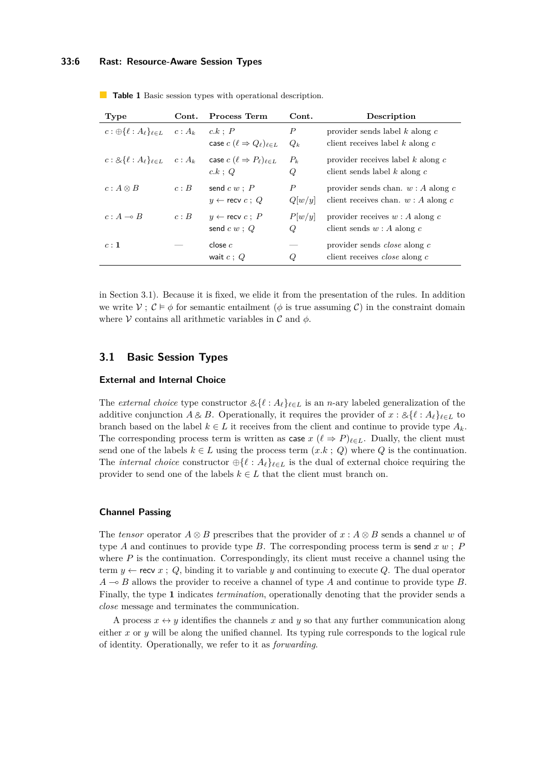# **33:6 Rast: Resource-Aware Session Types**

| Type                                                             | $\mathbf{Cont.}$ | Process Term                                                     | Cont.                      | Description                                                                   |
|------------------------------------------------------------------|------------------|------------------------------------------------------------------|----------------------------|-------------------------------------------------------------------------------|
| $c: \bigoplus \{ \ell : A_{\ell} \}_{\ell \in L} \quad c: A_{k}$ |                  | c.k : P<br>case $c$ $(\ell \Rightarrow Q_{\ell})_{\ell \in L}$   | Р<br>$Q_k$                 | provider sends label $k$ along $c$<br>client receives label $k$ along $c$     |
| $c: 8\{\ell : A_{\ell}\}_{\ell \in L} \quad c: A_{k}$            |                  | case $c$ $(\ell \Rightarrow P_{\ell})_{\ell \in L}$<br>$c.k$ ; Q | $P_k$<br>Q                 | provider receives label $k$ along $c$<br>client sends label $k$ along $c$     |
| $c: A \otimes B$                                                 | c:B              | send $c w : P$<br>$y \leftarrow$ recv $c : Q$                    | $\boldsymbol{P}$<br>Q[w/y] | provider sends chan. $w : A$ along c<br>client receives chan. $w : A$ along c |
| $c: A \rightarrow B$                                             | c: B             | $y \leftarrow$ recv $c : P$<br>send $c w$ ; $Q$                  | P[w/y]<br>Q                | provider receives $w : A$ along c<br>client sends $w : A$ along c             |
| c:1                                                              |                  | close $c$<br>wait $c:Q$                                          | Q                          | provider sends <i>close</i> along c<br>client receives <i>close</i> along c   |

<span id="page-5-0"></span>**Table 1** Basic session types with operational description.

in Section [3.1\)](#page-5-1). Because it is fixed, we elide it from the presentation of the rules. In addition we write  $V: \mathcal{C} \models \phi$  for semantic entailment ( $\phi$  is true assuming C) in the constraint domain where V contains all arithmetic variables in  $\mathcal C$  and  $\phi$ .

# <span id="page-5-1"></span>**3.1 Basic Session Types**

#### **External and Internal Choice**

The *external choice* type constructor  $\&\{\ell : A_{\ell}\}_{\ell \in L}$  is an *n*-ary labeled generalization of the additive conjunction  $A \& B$ . Operationally, it requires the provider of  $x : \& \{ \ell : A_\ell \}_{\ell \in L}$  to branch based on the label  $k \in L$  it receives from the client and continue to provide type  $A_k$ . The corresponding process term is written as case  $x$  ( $\ell \Rightarrow P|_{\ell \in L}$ . Dually, the client must send one of the labels  $k \in L$  using the process term  $(x.k; Q)$  where  $Q$  is the continuation. The *internal choice* constructor  $\bigoplus \{ \ell : A_{\ell} \}_{\ell \in L}$  is the dual of external choice requiring the provider to send one of the labels  $k \in L$  that the client must branch on.

### **Channel Passing**

The *tensor* operator  $A \otimes B$  prescribes that the provider of  $x : A \otimes B$  sends a channel *w* of type *A* and continues to provide type *B*. The corresponding process term is send *x w* ; *P* where  $P$  is the continuation. Correspondingly, its client must receive a channel using the term  $y \leftarrow$  recv  $x : Q$ , binding it to variable  $y$  and continuing to execute  $Q$ . The dual operator  $A \rightarrow B$  allows the provider to receive a channel of type *A* and continue to provide type *B*. Finally, the type **1** indicates *termination*, operationally denoting that the provider sends a *close* message and terminates the communication.

A process  $x \leftrightarrow y$  identifies the channels x and y so that any further communication along either  $x$  or  $y$  will be along the unified channel. Its typing rule corresponds to the logical rule of identity. Operationally, we refer to it as *forwarding*.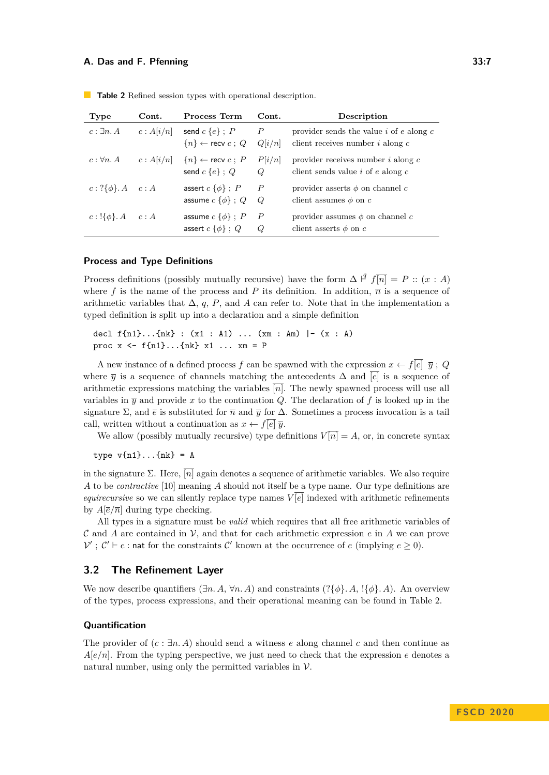| Type                          | Cont.     | Process Term                                                      | Cont.                      | Description                                                                           |
|-------------------------------|-----------|-------------------------------------------------------------------|----------------------------|---------------------------------------------------------------------------------------|
| $c: \exists n. A$             |           | $c: A[i/n]$ send $c \{e\}$ ; P<br>$\{n\} \leftarrow$ recv $c$ ; Q | $\boldsymbol{P}$<br>Q[i/n] | provider sends the value $i$ of $e$ along $c$<br>client receives number $i$ along $c$ |
| $c: \forall n. A$             | c: A[i/n] | $\{n\} \leftarrow$ recv $c : P$<br>send $c \{e\}$ ; Q             | P[i/n]<br>Q                | provider receives number $i$ along $c$<br>client sends value $i$ of $e$ along $c$     |
| $c: ?\{\phi\}. A \quad c: A$  |           | assert $c \{\phi\}$ ; P<br>assume $c \{\phi\}$ ; Q                | $\overline{P}$<br>Q        | provider asserts $\phi$ on channel c<br>client assumes $\phi$ on c                    |
| $c: \{\{\phi\}. A \quad c: A$ |           | assume $c \{\phi\}$ ; P<br>assert $c \{\phi\}$ ; Q                | $\boldsymbol{P}$<br>Q      | provider assumes $\phi$ on channel c<br>client asserts $\phi$ on c                    |

<span id="page-6-0"></span>**Table 2** Refined session types with operational description.

## **Process and Type Definitions**

Process definitions (possibly mutually recursive) have the form  $\Delta \vdash^q f\overline{n} = P :: (x : A)$ where f is the name of the process and P its definition. In addition,  $\bar{n}$  is a sequence of arithmetic variables that  $\Delta$ , *q*, *P*, and *A* can refer to. Note that in the implementation a typed definition is split up into a declaration and a simple definition

decl f{n1}...{nk} : (x1 : A1) ... (xm : Am) |- (x : A) proc  $x \le f\{n1\} \dots \{nk\}$   $x1 \dots xm = P$ 

A new instance of a defined process *f* can be spawned with the expression  $x \leftarrow f[\overline{e}] \ \overline{y}$ ; *Q* where  $\bar{y}$  is a sequence of channels matching the antecedents  $\Delta$  and  $\bar{[e]}$  is a sequence of arithmetic expressions matching the variables  $\overline{[n]}$ . The newly spawned process will use all variables in  $\overline{v}$  and provide x to the continuation O. The declaration of f is looked up in the signature  $\Sigma$ , and  $\bar{e}$  is substituted for  $\bar{n}$  and  $\bar{y}$  for  $\Delta$ . Sometimes a process invocation is a tail call, written without a continuation as  $x \leftarrow f\overline{|e|} \overline{y}$ .

We allow (possibly mutually recursive) type definitions  $V[\overline{n}] = A$ , or, in concrete syntax

type  $v{n1}$ ... ${nk}$  = A

in the signature  $\Sigma$ . Here,  $\overline{[n]}$  again denotes a sequence of arithmetic variables. We also require *A* to be *contractive* [\[10\]](#page-16-6) meaning *A* should not itself be a type name. Our type definitions are *equirecursive* so we can silently replace type names  $V[\overline{e}]$  indexed with arithmetic refinements by  $A\left[\overline{e}/\overline{n}\right]$  during type checking.

All types in a signature must be *valid* which requires that all free arithmetic variables of C and A are contained in V, and that for each arithmetic expression  $e$  in A we can prove  $V'$ ;  $C' \vdash e$ : nat for the constraints C' known at the occurrence of *e* (implying  $e \ge 0$ ).

# **3.2 The Refinement Layer**

We now describe quantifiers  $(\exists n. A, \forall n. A)$  and constraints  $(\exists \phi\} A, \exists \phi\} A)$ . An overview of the types, process expressions, and their operational meaning can be found in Table [2.](#page-6-0)

# **Quantification**

The provider of (*c* : ∃*n. A*) should send a witness *e* along channel *c* and then continue as  $A[e/n]$ . From the typing perspective, we just need to check that the expression *e* denotes a natural number, using only the permitted variables in  $\mathcal V$ .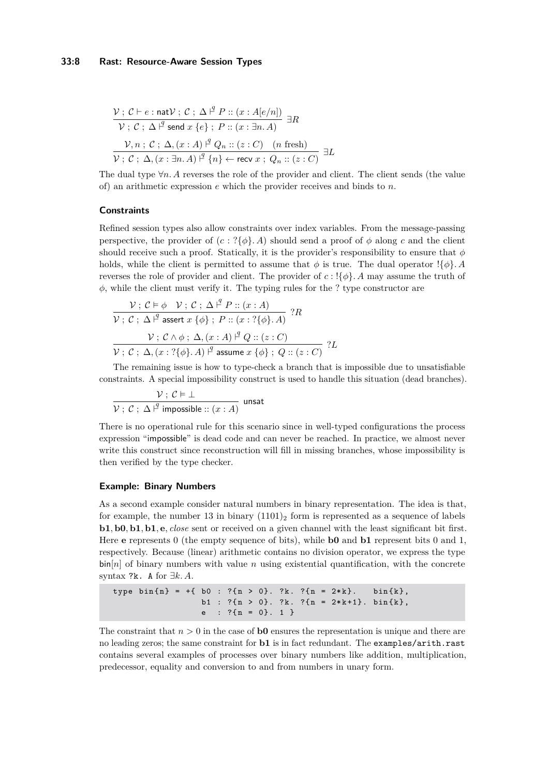### **33:8 Rast: Resource-Aware Session Types**

$$
\frac{\mathcal{V}: \mathcal{C} \vdash e : \text{natV}: \mathcal{C}: \Delta \stackrel{q}{\vdash} P :: (x : A[e/n])}{\mathcal{V}: \mathcal{C}: \Delta \stackrel{q}{\vdash} \text{send } x \{e\}; \ P :: (x : \exists n. A)} \exists R
$$
\n
$$
\frac{\mathcal{V}, n: \mathcal{C}: \Delta, (x : A) \stackrel{q}{\vdash} Q_n :: (z : C) \quad (n \text{ fresh})}{\mathcal{V}: \mathcal{C}: \Delta, (x : \exists n. A) \stackrel{q}{\vdash} \{n\} \leftarrow \text{recv } x; \ Q_n :: (z : C)} \exists L
$$

The dual type ∀*n. A* reverses the role of the provider and client. The client sends (the value of) an arithmetic expression *e* which the provider receives and binds to *n*.

#### **Constraints**

Refined session types also allow constraints over index variables. From the message-passing perspective, the provider of  $(c : ?{\phi}\)$ . A should send a proof of  $\phi$  along c and the client should receive such a proof. Statically, it is the provider's responsibility to ensure that *φ* holds, while the client is permitted to assume that  $\phi$  is true. The dual operator  $\{\phi\}$ *. A* reverses the role of provider and client. The provider of  $c$ :  $\{\phi\}$ *. A* may assume the truth of *φ*, while the client must verify it. The typing rules for the ? type constructor are

$$
\frac{\mathcal{V}: \mathcal{C} \models \phi \quad \mathcal{V}: \mathcal{C}: \Delta \stackrel{\beta}{\vdash} P :: (x:A)}{\mathcal{V}: \mathcal{C}: \Delta \stackrel{\beta}{\vdash}} \text{assert } x \{\phi\}: P :: (x:?\{\phi\}.A) \quad ?R
$$
\n
$$
\frac{\mathcal{V}: \mathcal{C} \land \phi: \Delta, (x:A) \stackrel{\beta}{\vdash} Q :: (z:C)}{\mathcal{V}: \mathcal{C}: \Delta, (x:?\{\phi\}.A) \stackrel{\beta}{\vdash}} \text{assume } x \{\phi\}: Q :: (z:C) \quad ?L
$$

The remaining issue is how to type-check a branch that is impossible due to unsatisfiable constraints. A special impossibility construct is used to handle this situation (dead branches).

$$
\frac{\mathcal{V}: \mathcal{C} \models \bot}{\mathcal{V}: \mathcal{C}: \Delta \stackrel{\text{q}}{\vdash} \text{impossible} :: (x:A)} \text{ unsat}
$$

There is no operational rule for this scenario since in well-typed configurations the process expression "impossible" is dead code and can never be reached. In practice, we almost never write this construct since reconstruction will fill in missing branches, whose impossibility is then verified by the type checker.

#### **Example: Binary Numbers**

As a second example consider natural numbers in binary representation. The idea is that, for example, the number 13 in binary  $(1101)_2$  form is represented as a sequence of labels **b1***,* **b0***,* **b1***,* **b1***,* **e***, close* sent or received on a given channel with the least significant bit first. Here **e** represents 0 (the empty sequence of bits), while **b0** and **b1** represent bits 0 and 1, respectively. Because (linear) arithmetic contains no division operator, we express the type  $\sin[n]$  of binary numbers with value *n* using existential quantification, with the concrete syntax ?k. A for ∃*k. A*.

```
type bin {n} = +{ b0 : ?{n > 0}. ?k. ?{n = 2*k}. bin {k},
                 b1 : ?{n > 0}. ?k. ?{n = 2*k+1}. bin{k},
                 e : ?\{n = 0\}. 1 }
```
The constraint that  $n > 0$  in the case of **b0** ensures the representation is unique and there are no leading zeros; the same constraint for **b1** is in fact redundant. The examples/arith.rast contains several examples of processes over binary numbers like addition, multiplication, predecessor, equality and conversion to and from numbers in unary form.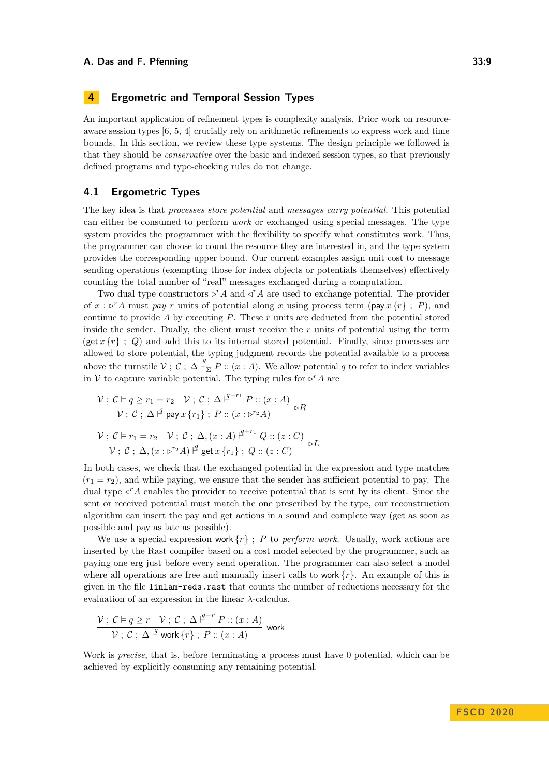# <span id="page-8-0"></span>**4 Ergometric and Temporal Session Types**

An important application of refinement types is complexity analysis. Prior work on resourceaware session types [\[6,](#page-16-9) [5,](#page-15-2) [4\]](#page-15-3) crucially rely on arithmetic refinements to express work and time bounds. In this section, we review these type systems. The design principle we followed is that they should be *conservative* over the basic and indexed session types, so that previously defined programs and type-checking rules do not change.

# **4.1 Ergometric Types**

The key idea is that *processes store potential* and *messages carry potential*. This potential can either be consumed to perform *work* or exchanged using special messages. The type system provides the programmer with the flexibility to specify what constitutes work. Thus, the programmer can choose to count the resource they are interested in, and the type system provides the corresponding upper bound. Our current examples assign unit cost to message sending operations (exempting those for index objects or potentials themselves) effectively counting the total number of "real" messages exchanged during a computation.

Two dual type constructors  $\rho^r A$  and  $\varphi^r A$  are used to exchange potential. The provider of  $x : \triangleright^{r} A$  must *pay r* units of potential along *x* using process term (pay  $x \{r\}$ ; *P*), and continue to provide *A* by executing *P*. These *r* units are deducted from the potential stored inside the sender. Dually, the client must receive the *r* units of potential using the term (get  $x\{r\}$ ;  $Q$ ) and add this to its internal stored potential. Finally, since processes are allowed to store potential, the typing judgment records the potential available to a process above the turnstile  $\mathcal{V}$ ;  $\mathcal{C}$ ;  $\Delta \vdash_{\Sigma}^q P :: (\mathcal{X} : A)$ . We allow potential *q* to refer to index variables in V to capture variable potential. The typing rules for  $\triangleright^r A$  are

$$
\frac{\mathcal{V}: \mathcal{C} \models q \ge r_1 = r_2 \quad \mathcal{V}: \mathcal{C}: \Delta \stackrel{q^{r-r_1}}{\models} P :: (x:A)}{\mathcal{V}: \mathcal{C}: \Delta \stackrel{q}{\models} \text{pay } x \{r_1\}; \ P :: (x : \mathcal{D}^{r_2} A)} \triangleright R}
$$
\n
$$
\frac{\mathcal{V}: \mathcal{C} \models r_1 = r_2 \quad \mathcal{V}: \mathcal{C}: \Delta, (x:A) \stackrel{q^{r+r_1}}{\models} Q :: (z:C)}{\mathcal{V}: \mathcal{C}: \Delta, (x : \mathcal{D}^{r_2} A) \stackrel{q}{\models} \text{get } x \{r_1\}; \ Q :: (z:C)} \triangleright L}
$$

In both cases, we check that the exchanged potential in the expression and type matches  $(r_1 = r_2)$ , and while paying, we ensure that the sender has sufficient potential to pay. The dual type  $\triangleleft^r A$  enables the provider to receive potential that is sent by its client. Since the sent or received potential must match the one prescribed by the type, our reconstruction algorithm can insert the pay and get actions in a sound and complete way (get as soon as possible and pay as late as possible).

We use a special expression work  $\{r\}$ : *P* to *perform work*. Usually, work actions are inserted by the Rast compiler based on a cost model selected by the programmer, such as paying one erg just before every send operation. The programmer can also select a model where all operations are free and manually insert calls to work {*r*}. An example of this is given in the file linlam-reds.rast that counts the number of reductions necessary for the evaluation of an expression in the linear *λ*-calculus.

$$
\frac{\mathcal{V}: \mathcal{C} \vDash q \geq r \quad \mathcal{V}: \mathcal{C}: \, \Delta \stackrel{q^{r-r}}{\vdash} P :: (x:A)}{\mathcal{V}: \mathcal{C}: \, \Delta \stackrel{q}{\vdash} \text{work} \{r\}: P :: (x:A)} \text{ work}
$$

Work is *precise*, that is, before terminating a process must have 0 potential, which can be achieved by explicitly consuming any remaining potential.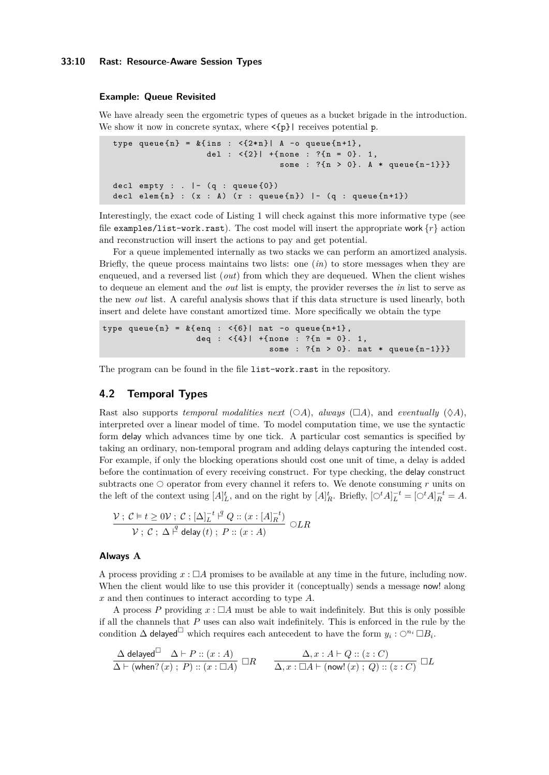#### **33:10 Rast: Resource-Aware Session Types**

#### **Example: Queue Revisited**

We have already seen the ergometric types of queues as a bucket brigade in the introduction. We show it now in concrete syntax, where  $\leq \{p\}$  receives potential p.

```
type queue {n} = k{ ins : <{2*n}| A -o queue {n+1},
                   del : \langle \{2\} | +{none : ?{n = 0}. 1,
                                  some : ?{n > 0}. A * queue{n-1}}decl empty : . | - (q : queue{0})decl elem{n} : (x : A) (r : queue{n}) |- (q : queue{n+1})
```
Interestingly, the exact code of Listing [1](#page-3-0) will check against this more informative type (see file examples/list-work.rast). The cost model will insert the appropriate work  $\{r\}$  action and reconstruction will insert the actions to pay and get potential.

For a queue implemented internally as two stacks we can perform an amortized analysis. Briefly, the queue process maintains two lists: one (*in*) to store messages when they are enqueued, and a reversed list (*out*) from which they are dequeued. When the client wishes to dequeue an element and the *out* list is empty, the provider reverses the *in* list to serve as the new *out* list. A careful analysis shows that if this data structure is used linearly, both insert and delete have constant amortized time. More specifically we obtain the type

```
type queue{n} = k{enq : <{6}| nat -o queue{n+1},
                    deq : \langle \{4\} | + {none : ? {n = 0}. 1,
                                   some : ?{n > 0}. nat * queue {n-1}}
```
The program can be found in the file list-work.rast in the repository.

# **4.2 Temporal Types**

Rast also supports *temporal modalities next* ( $\bigcirc A$ ), *always* ( $\Box A$ ), and *eventually* ( $\Diamond A$ ), interpreted over a linear model of time. To model computation time, we use the syntactic form delay which advances time by one tick. A particular cost semantics is specified by taking an ordinary, non-temporal program and adding delays capturing the intended cost. For example, if only the blocking operations should cost one unit of time, a delay is added before the continuation of every receiving construct. For type checking, the delay construct subtracts one  $\circlearrowright$  operator from every channel it refers to. We denote consuming  $r$  units on the left of the context using  $[A]_L^t$ , and on the right by  $[A]_R^t$ . Briefly,  $[\bigcirc^t A]_L^{-t} = [\bigcirc^t A]_R^{-t} = A$ .

$$
\frac{\mathcal{V}: \mathcal{C} \models t \ge 0\mathcal{V}: \mathcal{C}: [\Delta]_L^{-t} \stackrel{\beta}{\vdash} Q :: (x : [A]_R^{-t})}{\mathcal{V}: \mathcal{C}: \Delta \stackrel{\beta}{\vdash} \mathsf{delay}(t): P :: (x : A)} \bigcirc LR
$$

#### **Always A**

A process providing  $x : \Box A$  promises to be available at any time in the future, including now. When the client would like to use this provider it (conceptually) sends a message now! along *x* and then continues to interact according to type *A*.

A process P providing  $x : \Box A$  must be able to wait indefinitely. But this is only possible if all the channels that *P* uses can also wait indefinitely. This is enforced in the rule by the condition  $\Delta$  delayed<sup> $\Box$ </sup> which requires each antecedent to have the form  $y_i: \bigcirc^{n_i} \Box B_i$ .

$$
\frac{\Delta \mathop{\sf delayed}\nolimits^{\square} \quad \Delta \vdash P :: (x:A)}{\Delta \vdash (\text{when?}(x) \; ; \; P) :: (x:\square A)} \; \square R \qquad \frac{\Delta, x:A\vdash Q :: (z:C)}{\Delta, x:\square A\vdash (\text{now!}(x) \; ; \; Q) :: (z:C)} \; \square L
$$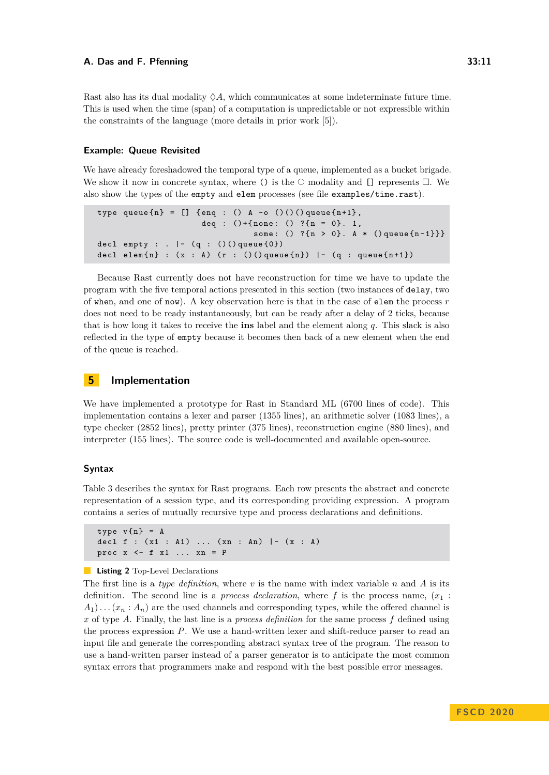Rast also has its dual modality  $\Diamond A$ , which communicates at some indeterminate future time. This is used when the time (span) of a computation is unpredictable or not expressible within the constraints of the language (more details in prior work [\[5\]](#page-15-2)).

#### **Example: Queue Revisited**

We have already foreshadowed the temporal type of a queue, implemented as a bucket brigade. We show it now in concrete syntax, where () is the  $\circ$  modality and [] represents  $\Box$ . We also show the types of the empty and elem processes (see file examples/time.rast).

```
type queue {n} = [] {enq : () A -o ()()() queue {n+1},
                      deq : () + \{none: () ?{n = 0}. 1,some: () ?{n > 0}. A * () queue{n-1}}decl empty : . | - (q : ()() queue {0})
decl elem\{ n \} : (x : A) (r : () () queue\{ n \} ) | - (q : queue\{ n+1 \})
```
Because Rast currently does not have reconstruction for time we have to update the program with the five temporal actions presented in this section (two instances of delay, two of when, and one of now). A key observation here is that in the case of elem the process *r* does not need to be ready instantaneously, but can be ready after a delay of 2 ticks, because that is how long it takes to receive the **ins** label and the element along *q*. This slack is also reflected in the type of empty because it becomes then back of a new element when the end of the queue is reached.

# **5 Implementation**

We have implemented a prototype for Rast in Standard ML (6700 lines of code). This implementation contains a lexer and parser (1355 lines), an arithmetic solver (1083 lines), a type checker (2852 lines), pretty printer (375 lines), reconstruction engine (880 lines), and interpreter (155 lines). The source code is well-documented and available open-source.

#### **Syntax**

Table [3](#page-11-0) describes the syntax for Rast programs. Each row presents the abstract and concrete representation of a session type, and its corresponding providing expression. A program contains a series of mutually recursive type and process declarations and definitions.

```
type v\{n\} = A
decl f : (x1 : A1) ... (xn : An) |- (x : A)proc x \leq -f x1 ... xn = P
```
# **Listing 2** Top-Level Declarations

The first line is a *type definition*, where *v* is the name with index variable *n* and *A* is its definition. The second line is a *process declaration*, where f is the process name,  $(x_1)$ :  $A_1$ )...  $(x_n : A_n)$  are the used channels and corresponding types, while the offered channel is *x* of type *A*. Finally, the last line is a *process definition* for the same process *f* defined using the process expression *P*. We use a hand-written lexer and shift-reduce parser to read an input file and generate the corresponding abstract syntax tree of the program. The reason to use a hand-written parser instead of a parser generator is to anticipate the most common syntax errors that programmers make and respond with the best possible error messages.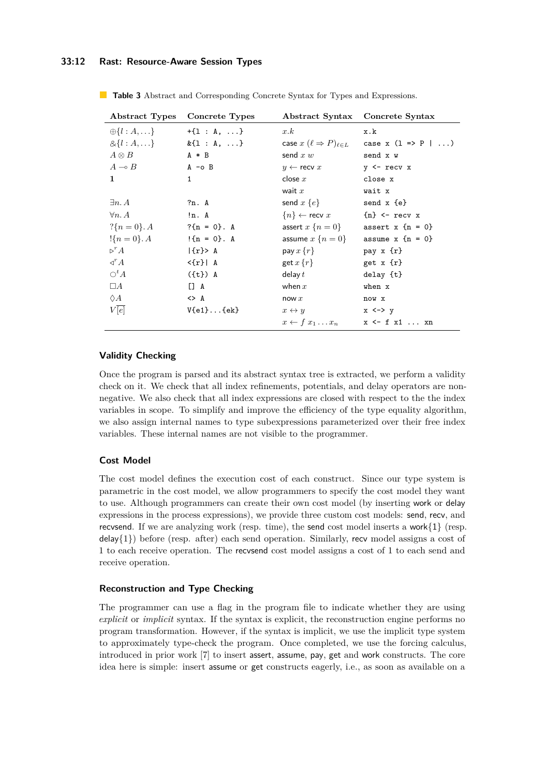# **33:12 Rast: Resource-Aware Session Types**

|                            | Abstract Types Concrete Types | Abstract Syntax Concrete Syntax                 |                                  |
|----------------------------|-------------------------------|-------------------------------------------------|----------------------------------|
| $\oplus \{l : A, \ldots\}$ | $+{1 : A, }$                  | x.k                                             | x.k                              |
| $& \{l : A, \}$            | $&\{1 : A, \ldots\}$          | case $x$ $(\ell \Rightarrow P)_{\ell \in L}$    | case x $(1 \Rightarrow P \mid )$ |
| $A \otimes B$              | $A * B$                       | send $x w$                                      | send x w                         |
| $A \multimap B$            | $A - O B$                     | $y \leftarrow$ recv $x$                         | $y \leftarrow \text{recv} x$     |
| 1                          | $\mathbf{1}$                  | close $x$                                       | close x                          |
|                            |                               | wait $x$                                        | wait x                           |
| $\exists n. A$             | ?n. A                         | send $x \{e\}$                                  | send $x \{e\}$                   |
| $\forall n. A$             | ln. A                         | ${n} \leftarrow$ recv x ${n} \leftarrow$ recv x |                                  |
| $?\{n = 0\}$ . A           | $?{n = 0}. A$                 | assert $x \{n = 0\}$ assert $x \{n = 0\}$       |                                  |
| $\{n=0\}$ . A              | $\{n = 0\}$ . A               | assume $x \{n = 0\}$ assume $x \{n = 0\}$       |                                  |
| $\triangleright^r A$       | $\{r\}$ A                     | pay $x\{r\}$                                    | pay $x \{r\}$                    |
| $\triangleleft^r A$        | $\{r\}$   A                   | get $x\{r\}$                                    | get $x \{r\}$                    |
| $\bigcirc^t A$             | $({t})$ A                     | delay $t$                                       | $delay$ $\{t\}$                  |
| $\Box A$                   | $\Box$ A                      | when $x$                                        | when x                           |
| $\Diamond A$               | $\leftrightarrow$ A           | now $x$                                         | now x                            |
| V[e]                       | $V{e1}.$ ${ek}$               | $x \leftrightarrow y$                           | $x \le -\frac{1}{y}$             |
|                            |                               | $x \leftarrow f x_1 \dots x_n$ x <- f x1  xn    |                                  |

<span id="page-11-0"></span>**Table 3** Abstract and Corresponding Concrete Syntax for Types and Expressions.

# **Validity Checking**

Once the program is parsed and its abstract syntax tree is extracted, we perform a validity check on it. We check that all index refinements, potentials, and delay operators are nonnegative. We also check that all index expressions are closed with respect to the the index variables in scope. To simplify and improve the efficiency of the type equality algorithm, we also assign internal names to type subexpressions parameterized over their free index variables. These internal names are not visible to the programmer.

# **Cost Model**

The cost model defines the execution cost of each construct. Since our type system is parametric in the cost model, we allow programmers to specify the cost model they want to use. Although programmers can create their own cost model (by inserting work or delay expressions in the process expressions), we provide three custom cost models: send, recv, and recvsend. If we are analyzing work (resp. time), the send cost model inserts a work $\{1\}$  (resp.  $\text{delay}\{1\}$  before (resp. after) each send operation. Similarly, recv model assigns a cost of 1 to each receive operation. The recvsend cost model assigns a cost of 1 to each send and receive operation.

# **Reconstruction and Type Checking**

The programmer can use a flag in the program file to indicate whether they are using *explicit* or *implicit* syntax. If the syntax is explicit, the reconstruction engine performs no program transformation. However, if the syntax is implicit, we use the implicit type system to approximately type-check the program. Once completed, we use the forcing calculus, introduced in prior work [\[7\]](#page-16-11) to insert assert, assume, pay, get and work constructs. The core idea here is simple: insert assume or get constructs eagerly, i.e., as soon as available on a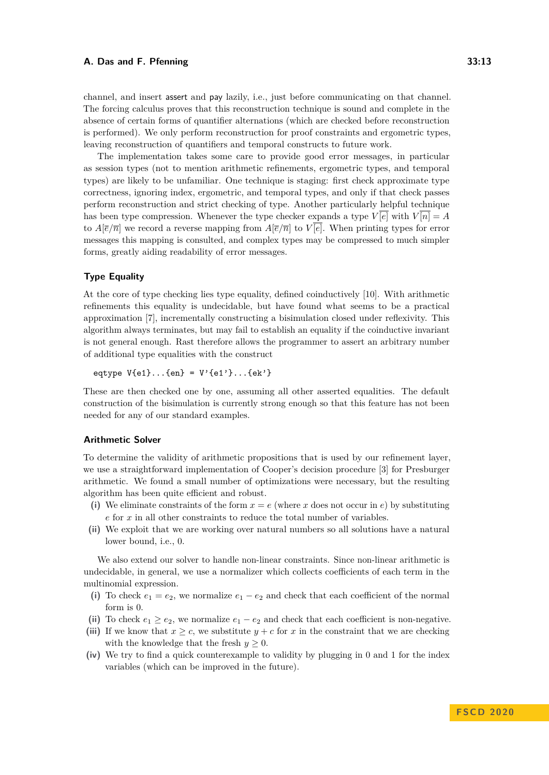channel, and insert assert and pay lazily, i.e., just before communicating on that channel. The forcing calculus proves that this reconstruction technique is sound and complete in the absence of certain forms of quantifier alternations (which are checked before reconstruction is performed). We only perform reconstruction for proof constraints and ergometric types, leaving reconstruction of quantifiers and temporal constructs to future work.

The implementation takes some care to provide good error messages, in particular as session types (not to mention arithmetic refinements, ergometric types, and temporal types) are likely to be unfamiliar. One technique is staging: first check approximate type correctness, ignoring index, ergometric, and temporal types, and only if that check passes perform reconstruction and strict checking of type. Another particularly helpful technique has been type compression. Whenever the type checker expands a type  $V[\overline{e}]$  with  $V[\overline{n}] = A$ to  $A[\overline{e}/\overline{n}]$  we record a reverse mapping from  $A[\overline{e}/\overline{n}]$  to  $V[\overline{e}]$ . When printing types for error messages this mapping is consulted, and complex types may be compressed to much simpler forms, greatly aiding readability of error messages.

# **Type Equality**

At the core of type checking lies type equality, defined coinductively [\[10\]](#page-16-6). With arithmetic refinements this equality is undecidable, but have found what seems to be a practical approximation [\[7\]](#page-16-11), incrementally constructing a bisimulation closed under reflexivity. This algorithm always terminates, but may fail to establish an equality if the coinductive invariant is not general enough. Rast therefore allows the programmer to assert an arbitrary number of additional type equalities with the construct

eqtype  $V{e1}$ ... ${en}$  =  $V'{e1}'$ ... ${ek'}$ 

These are then checked one by one, assuming all other asserted equalities. The default construction of the bisimulation is currently strong enough so that this feature has not been needed for any of our standard examples.

# **Arithmetic Solver**

To determine the validity of arithmetic propositions that is used by our refinement layer, we use a straightforward implementation of Cooper's decision procedure [\[3\]](#page-15-4) for Presburger arithmetic. We found a small number of optimizations were necessary, but the resulting algorithm has been quite efficient and robust.

- (i) We eliminate constraints of the form  $x = e$  (where x does not occur in  $e$ ) by substituting *e* for *x* in all other constraints to reduce the total number of variables.
- **(ii)** We exploit that we are working over natural numbers so all solutions have a natural lower bound, i.e., 0.

We also extend our solver to handle non-linear constraints. Since non-linear arithmetic is undecidable, in general, we use a normalizer which collects coefficients of each term in the multinomial expression.

- (i) To check  $e_1 = e_2$ , we normalize  $e_1 e_2$  and check that each coefficient of the normal form is 0.
- (ii) To check  $e_1 \ge e_2$ , we normalize  $e_1 e_2$  and check that each coefficient is non-negative.
- (iii) If we know that  $x \geq c$ , we substitute  $y + c$  for x in the constraint that we are checking with the knowledge that the fresh  $y \geq 0$ .
- **(iv)** We try to find a quick counterexample to validity by plugging in 0 and 1 for the index variables (which can be improved in the future).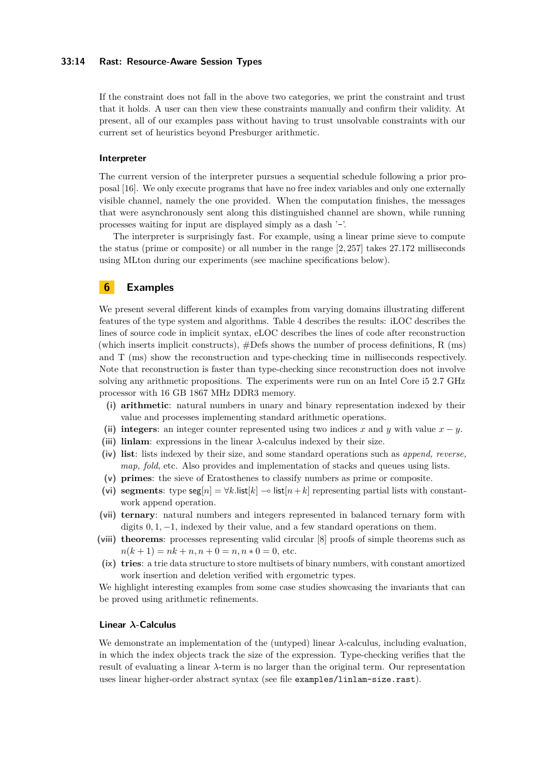#### **33:14 Rast: Resource-Aware Session Types**

If the constraint does not fall in the above two categories, we print the constraint and trust that it holds. A user can then view these constraints manually and confirm their validity. At present, all of our examples pass without having to trust unsolvable constraints with our current set of heuristics beyond Presburger arithmetic.

# **Interpreter**

The current version of the interpreter pursues a sequential schedule following a prior proposal [\[16\]](#page-16-12). We only execute programs that have no free index variables and only one externally visible channel, namely the one provided. When the computation finishes, the messages that were asynchronously sent along this distinguished channel are shown, while running processes waiting for input are displayed simply as a dash '-'.

The interpreter is surprisingly fast. For example, using a linear prime sieve to compute the status (prime or composite) or all number in the range [2*,* 257] takes 27.172 milliseconds using MLton during our experiments (see machine specifications below).

# **6 Examples**

We present several different kinds of examples from varying domains illustrating different features of the type system and algorithms. Table [4](#page-14-0) describes the results: iLOC describes the lines of source code in implicit syntax, eLOC describes the lines of code after reconstruction (which inserts implicit constructs), #Defs shows the number of process definitions, R (ms) and T (ms) show the reconstruction and type-checking time in milliseconds respectively. Note that reconstruction is faster than type-checking since reconstruction does not involve solving any arithmetic propositions. The experiments were run on an Intel Core i5 2.7 GHz processor with 16 GB 1867 MHz DDR3 memory.

- **(i) arithmetic**: natural numbers in unary and binary representation indexed by their value and processes implementing standard arithmetic operations.
- **(ii) integers**: an integer counter represented using two indices *x* and *y* with value *x* − *y*.
- **(iii) linlam**: expressions in the linear *λ*-calculus indexed by their size.
- **(iv) list**: lists indexed by their size, and some standard operations such as *append, reverse, map, fold*, etc. Also provides and implementation of stacks and queues using lists.
- **(v) primes**: the sieve of Eratosthenes to classify numbers as prime or composite.
- (vi) **segments**: type  $\text{seg}[n] = \forall k$ .list[ $k$ ]  $\sim$  list[ $n+k$ ] representing partial lists with constantwork append operation.
- **(vii) ternary**: natural numbers and integers represented in balanced ternary form with digits 0*,* 1*,* −1, indexed by their value, and a few standard operations on them.
- **(viii) theorems**: processes representing valid circular [\[8\]](#page-16-13) proofs of simple theorems such as  $n(k+1) = nk + n, n+0 = n, n * 0 = 0$ , etc.
- **(ix) tries**: a trie data structure to store multisets of binary numbers, with constant amortized work insertion and deletion verified with ergometric types.

We highlight interesting examples from some case studies showcasing the invariants that can be proved using arithmetic refinements.

#### **Linear** *λ***-Calculus**

We demonstrate an implementation of the (untyped) linear *λ*-calculus, including evaluation, in which the index objects track the size of the expression. Type-checking verifies that the result of evaluating a linear *λ*-term is no larger than the original term. Our representation uses linear higher-order abstract syntax (see file examples/linlam-size.rast).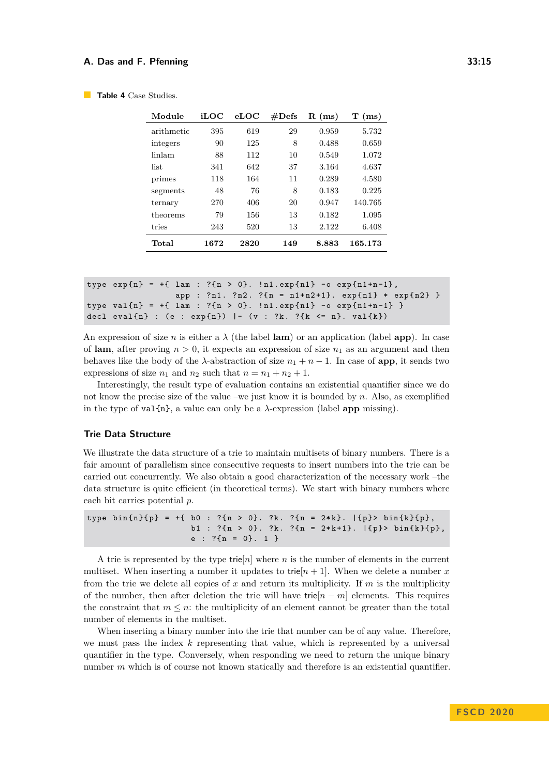| Module     | iLOC | $_{\rm eLOC}$ | #Defs | $R$ (ms) | $T$ (ms) |
|------------|------|---------------|-------|----------|----------|
| arithmetic | 395  | 619           | 29    | 0.959    | 5.732    |
| integers   | 90   | 125           | 8     | 0.488    | 0.659    |
| linlam     | 88   | 112           | 10    | 0.549    | 1.072    |
| list       | 341  | 642           | 37    | 3.164    | 4.637    |
| primes     | 118  | 164           | 11    | 0.289    | 4.580    |
| segments   | 48   | 76            | 8     | 0.183    | 0.225    |
| ternary    | 270  | 406           | 20    | 0.947    | 140.765  |
| theorems   | 79   | 156           | 13    | 0.182    | 1.095    |
| tries      | 243  | 520           | 13    | 2.122    | 6.408    |
| Total      | 1672 | 2820          | 149   | 8.883    | 165.173  |

```
Table 4 Case Studies.
```

```
type exp{n} = +{ 1am : ?{n > 0}. ln1.exp{n1} - o exp{n1+n-1},
                 app : ?n1. ?n2. ?{n = n1+n2+1}. exp{n1} * exp{n2}type val{n} = +{ lam : ?{n > 0}. !n1.exp{n1} -o exp{n1+n-1} }
decl eval{n} : (e : exp{n}) |- (v : ?k. ?{k <= n}. val{k})
```
An expression of size *n* is either a  $\lambda$  (the label **lam**) or an application (label **app**). In case of **lam**, after proving  $n > 0$ , it expects an expression of size  $n_1$  as an argument and then behaves like the body of the  $\lambda$ -abstraction of size  $n_1 + n - 1$ . In case of **app**, it sends two expressions of size  $n_1$  and  $n_2$  such that  $n = n_1 + n_2 + 1$ .

Interestingly, the result type of evaluation contains an existential quantifier since we do not know the precise size of the value –we just know it is bounded by *n*. Also, as exemplified in the type of  $val{n}$ , a value can only be a  $\lambda$ -expression (label **app** missing).

#### **Trie Data Structure**

We illustrate the data structure of a trie to maintain multisets of binary numbers. There is a fair amount of parallelism since consecutive requests to insert numbers into the trie can be carried out concurrently. We also obtain a good characterization of the necessary work –the data structure is quite efficient (in theoretical terms). We start with binary numbers where each bit carries potential *p*.

```
type bin{n}{p} = +{ bol : ?{n > 0}. ?k : ?{n = 2*k}. | {p} > bin{k}{p},b1 : ?{n > 0}. ?k. ?{n = 2*k+1}. |{p}> bin{k}{p},
                    e : ?{n = 0}.1}
```
A trie is represented by the type  $\text{trie}[n]$  where *n* is the number of elements in the current multiset. When inserting a number it updates to trie $[n+1]$ . When we delete a number x from the trie we delete all copies of *x* and return its multiplicity. If *m* is the multiplicity of the number, then after deletion the trie will have trie[*n* − *m*] elements. This requires the constraint that  $m \leq n$ : the multiplicity of an element cannot be greater than the total number of elements in the multiset.

When inserting a binary number into the trie that number can be of any value. Therefore, we must pass the index *k* representing that value, which is represented by a universal quantifier in the type. Conversely, when responding we need to return the unique binary number *m* which is of course not known statically and therefore is an existential quantifier.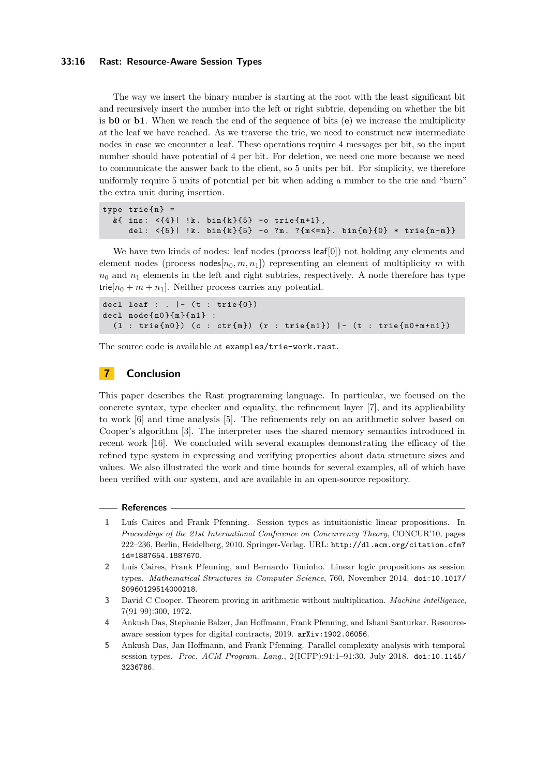#### **33:16 Rast: Resource-Aware Session Types**

The way we insert the binary number is starting at the root with the least significant bit and recursively insert the number into the left or right subtrie, depending on whether the bit is **b0** or **b1**. When we reach the end of the sequence of bits (**e**) we increase the multiplicity at the leaf we have reached. As we traverse the trie, we need to construct new intermediate nodes in case we encounter a leaf. These operations require 4 messages per bit, so the input number should have potential of 4 per bit. For deletion, we need one more because we need to communicate the answer back to the client, so 5 units per bit. For simplicity, we therefore uniformly require 5 units of potential per bit when adding a number to the trie and "burn" the extra unit during insertion.

```
type trie{n} =
  k{ ins: \langle 4 \rangle| !k. bin\{k\}{5} -o trie\{n+1\},
      del: \{5\} | !k. bin\{k\}{5} -o ?m. ?\{m < = n\}. bin\{m\}{0} * trie\{n-m\}}
```
We have two kinds of nodes: leaf nodes (process leaf[0]) not holding any elements and element nodes (process  $\text{nodes}[n_0, m, n_1]$ ) representing an element of multiplicity  $m$  with  $n_0$  and  $n_1$  elements in the left and right subtries, respectively. A node therefore has type trie $[n_0 + m + n_1]$ . Neither process carries any potential.

```
decl leaf : . \vert - \rangle (t : trie {0})
dec1 node{n0}{m}{n1} :
   (1 : \text{trie} \{n0\}) (c : \text{ctr} \{m\}) (r : \text{trie} \{n1\}) | - (t : \text{trie} \{n0+m+n1\})
```
The source code is available at examples/trie-work.rast.

# **7 Conclusion**

This paper describes the Rast programming language. In particular, we focused on the concrete syntax, type checker and equality, the refinement layer [\[7\]](#page-16-11), and its applicability to work [\[6\]](#page-16-9) and time analysis [\[5\]](#page-15-2). The refinements rely on an arithmetic solver based on Cooper's algorithm [\[3\]](#page-15-4). The interpreter uses the shared memory semantics introduced in recent work [\[16\]](#page-16-12). We concluded with several examples demonstrating the efficacy of the refined type system in expressing and verifying properties about data structure sizes and values. We also illustrated the work and time bounds for several examples, all of which have been verified with our system, and are available in an open-source repository.

#### **References**

- <span id="page-15-0"></span>**1** Luís Caires and Frank Pfenning. Session types as intuitionistic linear propositions. In *Proceedings of the 21st International Conference on Concurrency Theory*, CONCUR'10, pages 222–236, Berlin, Heidelberg, 2010. Springer-Verlag. URL: [http://dl.acm.org/citation.cfm?](http://dl.acm.org/citation.cfm?id=1887654.1887670) [id=1887654.1887670](http://dl.acm.org/citation.cfm?id=1887654.1887670).
- <span id="page-15-1"></span>**2** Luís Caires, Frank Pfenning, and Bernardo Toninho. Linear logic propositions as session types. *Mathematical Structures in Computer Science*, 760, November 2014. [doi:10.1017/](https://doi.org/10.1017/S0960129514000218) [S0960129514000218](https://doi.org/10.1017/S0960129514000218).
- <span id="page-15-4"></span>**3** David C Cooper. Theorem proving in arithmetic without multiplication. *Machine intelligence*, 7(91-99):300, 1972.
- <span id="page-15-3"></span>**4** Ankush Das, Stephanie Balzer, Jan Hoffmann, Frank Pfenning, and Ishani Santurkar. Resourceaware session types for digital contracts, 2019. [arXiv:1902.06056](http://arxiv.org/abs/1902.06056).
- <span id="page-15-2"></span>**5** Ankush Das, Jan Hoffmann, and Frank Pfenning. Parallel complexity analysis with temporal session types. *Proc. ACM Program. Lang.*, 2(ICFP):91:1–91:30, July 2018. [doi:10.1145/](https://doi.org/10.1145/3236786) [3236786](https://doi.org/10.1145/3236786).